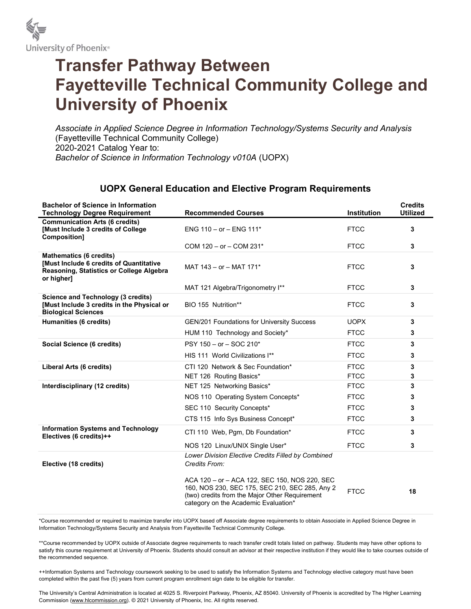

## Transfer Pathway Between Fayetteville Technical Community College and University of Phoenix

Associate in Applied Science Degree in Information Technology/Systems Security and Analysis (Fayetteville Technical Community College) 2020-2021 Catalog Year to: Bachelor of Science in Information Technology v010A (UOPX)

## UOPX General Education and Elective Program Requirements

| <b>Bachelor of Science in Information</b><br><b>Technology Degree Requirement</b>                                                   | <b>Recommended Courses</b>                                                                                                                                                                | <b>Institution</b> | <b>Credits</b><br><b>Utilized</b> |
|-------------------------------------------------------------------------------------------------------------------------------------|-------------------------------------------------------------------------------------------------------------------------------------------------------------------------------------------|--------------------|-----------------------------------|
| <b>Communication Arts (6 credits)</b><br>[Must Include 3 credits of College]<br>Composition]                                        | ENG $110 - or - ENG 111*$                                                                                                                                                                 | <b>FTCC</b>        | 3                                 |
|                                                                                                                                     | COM 120 - or - COM 231*                                                                                                                                                                   | <b>FTCC</b>        | 3                                 |
| <b>Mathematics (6 credits)</b><br>[Must Include 6 credits of Quantitative<br>Reasoning, Statistics or College Algebra<br>or higher] | MAT 143 - or - MAT 171*                                                                                                                                                                   | <b>FTCC</b>        | 3                                 |
|                                                                                                                                     | MAT 121 Algebra/Trigonometry I**                                                                                                                                                          | <b>FTCC</b>        | 3                                 |
| Science and Technology (3 credits)<br>[Must Include 3 credits in the Physical or<br><b>Biological Sciences</b>                      | BIO 155 Nutrition**                                                                                                                                                                       | <b>FTCC</b>        | 3                                 |
| Humanities (6 credits)                                                                                                              | <b>GEN/201 Foundations for University Success</b>                                                                                                                                         | <b>UOPX</b>        | 3                                 |
|                                                                                                                                     | HUM 110 Technology and Society*                                                                                                                                                           | <b>FTCC</b>        | 3                                 |
| Social Science (6 credits)                                                                                                          | $PSY 150 - or - SOC 210*$                                                                                                                                                                 | <b>FTCC</b>        | 3                                 |
|                                                                                                                                     | HIS 111 World Civilizations I**                                                                                                                                                           | <b>FTCC</b>        | 3                                 |
| Liberal Arts (6 credits)                                                                                                            | CTI 120 Network & Sec Foundation*                                                                                                                                                         | <b>FTCC</b>        | 3                                 |
|                                                                                                                                     | NET 126 Routing Basics*                                                                                                                                                                   | <b>FTCC</b>        | 3                                 |
| Interdisciplinary (12 credits)                                                                                                      | NET 125 Networking Basics*                                                                                                                                                                | <b>FTCC</b>        | 3                                 |
|                                                                                                                                     | NOS 110 Operating System Concepts*                                                                                                                                                        | <b>FTCC</b>        | 3                                 |
|                                                                                                                                     | SEC 110 Security Concepts*                                                                                                                                                                | <b>FTCC</b>        | 3                                 |
|                                                                                                                                     | CTS 115 Info Sys Business Concept*                                                                                                                                                        | <b>FTCC</b>        | 3                                 |
| <b>Information Systems and Technology</b><br>Electives (6 credits)++                                                                | CTI 110 Web, Pgm, Db Foundation*                                                                                                                                                          | <b>FTCC</b>        | 3                                 |
|                                                                                                                                     | NOS 120 Linux/UNIX Single User*                                                                                                                                                           | <b>FTCC</b>        | 3                                 |
| Elective (18 credits)                                                                                                               | Lower Division Elective Credits Filled by Combined<br>Credits From:                                                                                                                       |                    |                                   |
|                                                                                                                                     | ACA 120 - or - ACA 122, SEC 150, NOS 220, SEC<br>160, NOS 230, SEC 175, SEC 210, SEC 285, Any 2<br>(two) credits from the Major Other Requirement<br>category on the Academic Evaluation* | <b>FTCC</b>        | 18                                |

\*Course recommended or required to maximize transfer into UOPX based off Associate degree requirements to obtain Associate in Applied Science Degree in Information Technology/Systems Security and Analysis from Fayetteville Technical Community College.

\*\*Course recommended by UOPX outside of Associate degree requirements to reach transfer credit totals listed on pathway. Students may have other options to satisfy this course requirement at University of Phoenix. Students should consult an advisor at their respective institution if they would like to take courses outside of the recommended sequence.

++Information Systems and Technology coursework seeking to be used to satisfy the Information Systems and Technology elective category must have been completed within the past five (5) years from current program enrollment sign date to be eligible for transfer.

The University's Central Administration is located at 4025 S. Riverpoint Parkway, Phoenix, AZ 85040. University of Phoenix is accredited by The Higher Learning Commission (www.hlcommission.org). © 2021 University of Phoenix, Inc. All rights reserved.